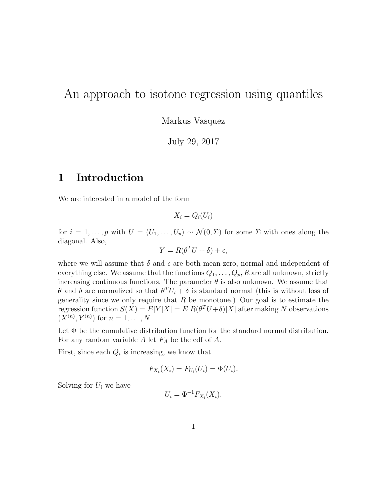## An approach to isotone regression using quantiles

Markus Vasquez

July 29, 2017

## 1 Introduction

We are interested in a model of the form

 $X_i = Q_i(U_i)$ 

for  $i = 1, \ldots, p$  with  $U = (U_1, \ldots, U_p) \sim \mathcal{N}(0, \Sigma)$  for some  $\Sigma$  with ones along the diagonal. Also,

$$
Y = R(\theta^T U + \delta) + \epsilon,
$$

where we will assume that  $\delta$  and  $\epsilon$  are both mean-zero, normal and independent of everything else. We assume that the functions  $Q_1, \ldots, Q_p, R$  are all unknown, strictly increasing continuous functions. The parameter  $\theta$  is also unknown. We assume that θ and δ are normalized so that  $θ<sup>T</sup>U<sub>i</sub> + δ$  is standard normal (this is without loss of generality since we only require that  $R$  be monotone.) Our goal is to estimate the regression function  $S(X) = E[Y|X] = E[R(\theta^T U + \delta)|X]$  after making N observations  $(X^{(n)}, Y^{(n)})$  for  $n = 1, ..., N$ .

Let  $\Phi$  be the cumulative distribution function for the standard normal distribution. For any random variable  $A$  let  $F_A$  be the cdf of  $A$ .

First, since each  $Q_i$  is increasing, we know that

$$
F_{X_i}(X_i) = F_{U_i}(U_i) = \Phi(U_i).
$$

Solving for  $U_i$  we have

$$
U_i = \Phi^{-1} F_{X_i}(X_i).
$$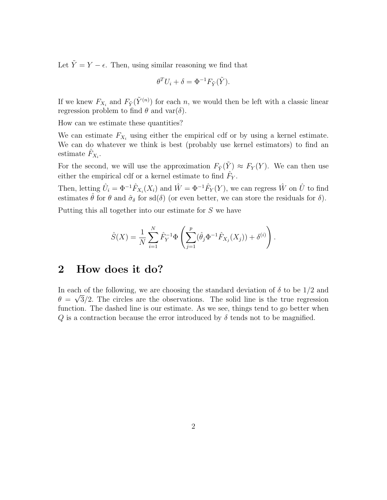Let  $\tilde{Y} = Y - \epsilon$ . Then, using similar reasoning we find that

$$
\theta^T U_i + \delta = \Phi^{-1} F_{\tilde{Y}}(\tilde{Y}).
$$

If we knew  $F_{X_i}$  and  $F_{\tilde{Y}}(\tilde{Y}^{(n)})$  for each n, we would then be left with a classic linear regression problem to find  $\theta$  and var $(\delta)$ .

How can we estimate these quantities?

We can estimate  $F_{X_i}$  using either the empirical cdf or by using a kernel estimate. We can do whatever we think is best (probably use kernel estimators) to find an estimate  $\hat{F}_{X_i}$ .

For the second, we will use the approximation  $F_{\tilde{Y}}(\tilde{Y}) \approx F_Y(Y)$ . We can then use either the empirical cdf or a kernel estimate to find  $\hat{F}_Y$ .

Then, letting  $\hat{U}_i = \Phi^{-1} \hat{F}_{X_i}(X_i)$  and  $\hat{W} = \Phi^{-1} \hat{F}_Y(Y)$ , we can regress  $\hat{W}$  on  $\hat{U}$  to find estimates  $\hat{\theta}$  for  $\theta$  and  $\hat{\sigma}_{\delta}$  for sd( $\delta$ ) (or even better, we can store the residuals for  $\delta$ ).

Putting this all together into our estimate for  $S$  we have

$$
\hat{S}(X) = \frac{1}{N} \sum_{i=1}^{N} \hat{F}_{Y}^{-1} \Phi \left( \sum_{j=1}^{p} (\hat{\theta}_{j} \Phi^{-1} \hat{F}_{X_{j}}(X_{j})) + \delta^{(i)} \right).
$$

## 2 How does it do?

In each of the following, we are choosing the standard deviation of  $\delta$  to be 1/2 and  $\theta = \sqrt{3}/2$ . The circles are the observations. The solid line is the true regression function. The dashed line is our estimate. As we see, things tend to go better when Q is a contraction because the error introduced by  $\delta$  tends not to be magnified.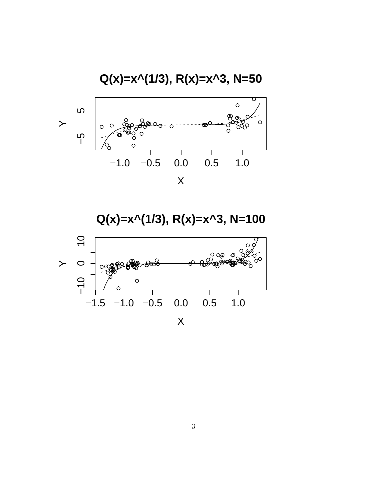

**Q(x)=x^(1/3), R(x)=x^3, N=100**

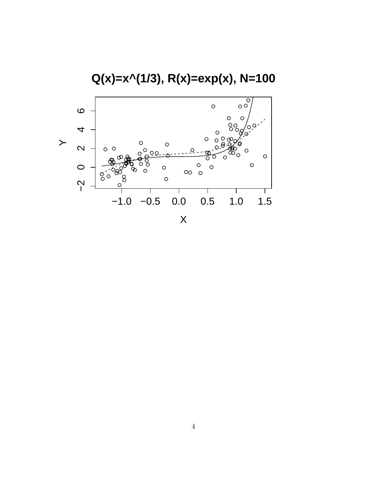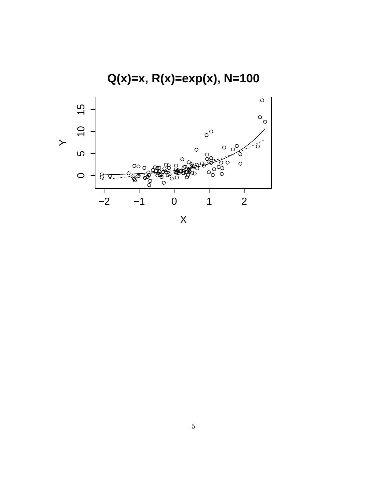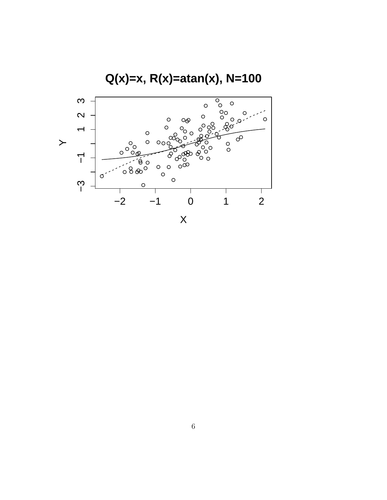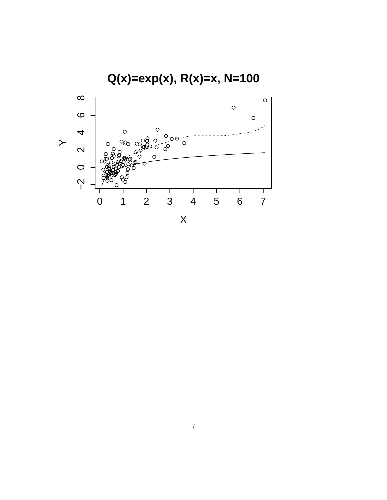